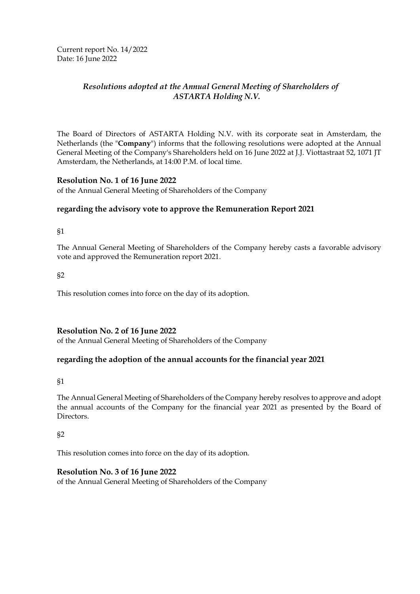Current report No. 14/2022 Date: 16 June 2022

# *Resolutions adopted at the Annual General Meeting of Shareholders of ASTARTA Holding N.V.*

The Board of Directors of ASTARTA Holding N.V. with its corporate seat in Amsterdam, the Netherlands (the "**Company**") informs that the following resolutions were adopted at the Annual General Meeting of the Company's Shareholders held on 16 June 2022 at J.J. Viottastraat 52, 1071 JT Amsterdam, the Netherlands, at 14:00 P.M. of local time.

### **Resolution No. 1 of 16 June 2022**

of the Annual General Meeting of Shareholders of the Company

### **regarding the advisory vote to approve the Remuneration Report 2021**

§1

The Annual General Meeting of Shareholders of the Company hereby casts a favorable advisory vote and approved the Remuneration report 2021.

§2

This resolution comes into force on the day of its adoption.

### **Resolution No. 2 of 16 June 2022**

of the Annual General Meeting of Shareholders of the Company

### **regarding the adoption of the annual accounts for the financial year 2021**

§1

The Annual General Meeting of Shareholders of the Company hereby resolves to approve and adopt the annual accounts of the Company for the financial year 2021 as presented by the Board of Directors.

§2

This resolution comes into force on the day of its adoption.

### **Resolution No. 3 of 16 June 2022**

of the Annual General Meeting of Shareholders of the Company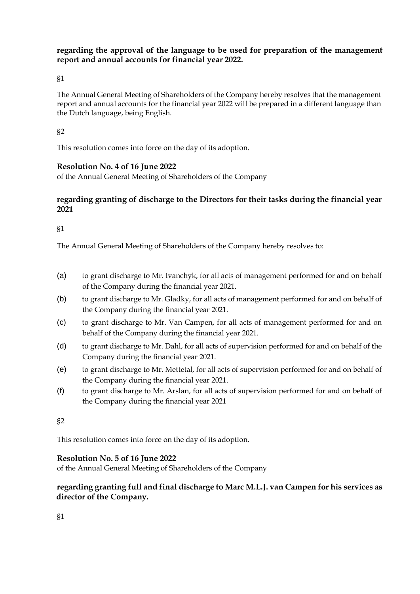**regarding the approval of the language to be used for preparation of the management report and annual accounts for financial year 2022.**

§1

The Annual General Meeting of Shareholders of the Company hereby resolves that the management report and annual accounts for the financial year 2022 will be prepared in a different language than the Dutch language, being English.

§2

This resolution comes into force on the day of its adoption.

# **Resolution No. 4 of 16 June 2022**

of the Annual General Meeting of Shareholders of the Company

## **regarding granting of discharge to the Directors for their tasks during the financial year 2021**

§1

The Annual General Meeting of Shareholders of the Company hereby resolves to:

- (a) to grant discharge to Mr. Ivanchyk, for all acts of management performed for and on behalf of the Company during the financial year 2021.
- (b) to grant discharge to Mr. Gladky, for all acts of management performed for and on behalf of the Company during the financial year 2021.
- (c) to grant discharge to Mr. Van Campen, for all acts of management performed for and on behalf of the Company during the financial year 2021.
- (d) to grant discharge to Mr. Dahl, for all acts of supervision performed for and on behalf of the Company during the financial year 2021.
- (e) to grant discharge to Mr. Mettetal, for all acts of supervision performed for and on behalf of the Company during the financial year 2021.
- (f) to grant discharge to Mr. Arslan, for all acts of supervision performed for and on behalf of the Company during the financial year 2021

§2

This resolution comes into force on the day of its adoption.

### **Resolution No. 5 of 16 June 2022**

of the Annual General Meeting of Shareholders of the Company

## **regarding granting full and final discharge to Marc M.L.J. van Campen for his services as director of the Company.**

§1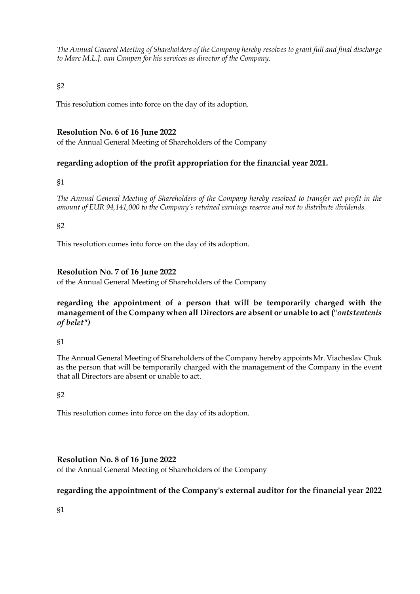*The Annual General Meeting of Shareholders of the Company hereby resolves to grant full and final discharge to Marc M.L.J. van Campen for his services as director of the Company.*

§2

This resolution comes into force on the day of its adoption.

# **Resolution No. 6 of 16 June 2022**

of the Annual General Meeting of Shareholders of the Company

# **regarding adoption of the profit appropriation for the financial year 2021.**

#### §1

*The Annual General Meeting of Shareholders of the Company hereby resolved to transfer net profit in the amount of EUR 94,141,000 to the Company's retained earnings reserve and not to distribute dividends.*

### §2

This resolution comes into force on the day of its adoption.

## **Resolution No. 7 of 16 June 2022**

of the Annual General Meeting of Shareholders of the Company

# **regarding the appointment of a person that will be temporarily charged with the management of the Company when all Directors are absent or unable to act ("***ontstentenis of belet")*

### §1

The Annual General Meeting of Shareholders of the Company hereby appoints Mr. Viacheslav Chuk as the person that will be temporarily charged with the management of the Company in the event that all Directors are absent or unable to act.

### §2

This resolution comes into force on the day of its adoption.

### **Resolution No. 8 of 16 June 2022**

of the Annual General Meeting of Shareholders of the Company

### **regarding the appointment of the Company's external auditor for the financial year 2022**

§1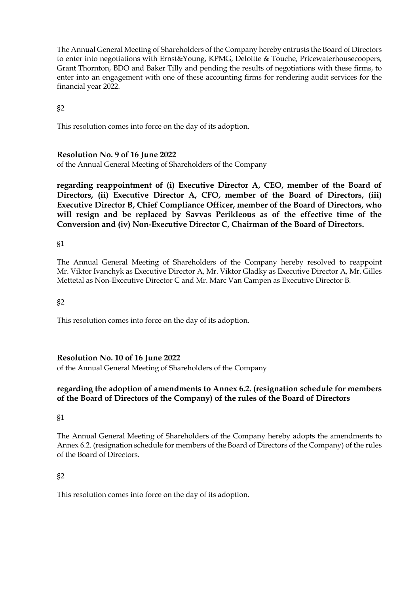The Annual General Meeting of Shareholders of the Company hereby entrusts the Board of Directors to enter into negotiations with Ernst&Young, KPMG, Deloitte & Touche, Pricewaterhousecoopers, Grant Thornton, BDO and Baker Tilly and pending the results of negotiations with these firms, to enter into an engagement with one of these accounting firms for rendering audit services for the financial year 2022.

§2

This resolution comes into force on the day of its adoption.

### **Resolution No. 9 of 16 June 2022**

of the Annual General Meeting of Shareholders of the Company

**regarding reappointment of (i) Executive Director A, CEO, member of the Board of Directors, (ii) Executive Director A, CFO, member of the Board of Directors, (iii) Executive Director B, Chief Compliance Officer, member of the Board of Directors, who will resign and be replaced by Savvas Perikleous as of the effective time of the Conversion and (iv) Non-Executive Director C, Chairman of the Board of Directors.**

§1

The Annual General Meeting of Shareholders of the Company hereby resolved to reappoint Mr. Viktor Ivanchyk as Executive Director A, Mr. Viktor Gladky as Executive Director A, Mr. Gilles Mettetal as Non-Executive Director C and Mr. Marc Van Campen as Executive Director B.

§2

This resolution comes into force on the day of its adoption.

### **Resolution No. 10 of 16 June 2022**

of the Annual General Meeting of Shareholders of the Company

### **regarding the adoption of amendments to Annex 6.2. (resignation schedule for members of the Board of Directors of the Company) of the rules of the Board of Directors**

#### §1

The Annual General Meeting of Shareholders of the Company hereby adopts the amendments to Annex 6.2. (resignation schedule for members of the Board of Directors of the Company) of the rules of the Board of Directors.

#### §2

This resolution comes into force on the day of its adoption.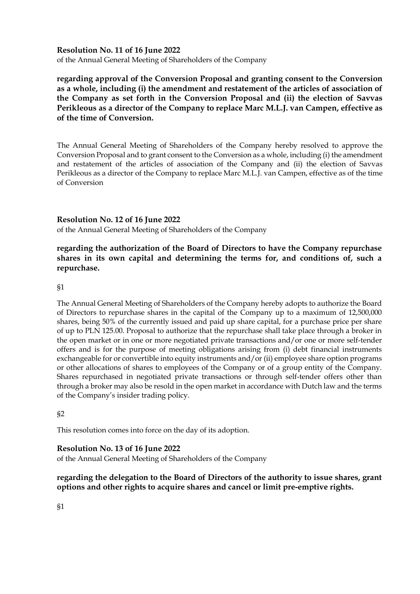#### **Resolution No. 11 of 16 June 2022**

of the Annual General Meeting of Shareholders of the Company

**regarding approval of the Conversion Proposal and granting consent to the Conversion as a whole, including (i) the amendment and restatement of the articles of association of the Company as set forth in the Conversion Proposal and (ii) the election of Savvas Perikleous as a director of the Company to replace Marc M.L.J. van Campen, effective as of the time of Conversion.**

The Annual General Meeting of Shareholders of the Company hereby resolved to approve the Conversion Proposal and to grant consent to the Conversion as a whole, including (i) the amendment and restatement of the articles of association of the Company and (ii) the election of Savvas Perikleous as a director of the Company to replace Marc M.L.J. van Campen, effective as of the time of Conversion

#### **Resolution No. 12 of 16 June 2022**

of the Annual General Meeting of Shareholders of the Company

### **regarding the authorization of the Board of Directors to have the Company repurchase shares in its own capital and determining the terms for, and conditions of, such a repurchase.**

#### §1

The Annual General Meeting of Shareholders of the Company hereby adopts to authorize the Board of Directors to repurchase shares in the capital of the Company up to a maximum of 12,500,000 shares, being 50% of the currently issued and paid up share capital, for a purchase price per share of up to PLN 125.00. Proposal to authorize that the repurchase shall take place through a broker in the open market or in one or more negotiated private transactions and/or one or more self-tender offers and is for the purpose of meeting obligations arising from (i) debt financial instruments exchangeable for or convertible into equity instruments and/or (ii) employee share option programs or other allocations of shares to employees of the Company or of a group entity of the Company. Shares repurchased in negotiated private transactions or through self-tender offers other than through a broker may also be resold in the open market in accordance with Dutch law and the terms of the Company's insider trading policy.

### §2

This resolution comes into force on the day of its adoption.

### **Resolution No. 13 of 16 June 2022**

of the Annual General Meeting of Shareholders of the Company

## **regarding the delegation to the Board of Directors of the authority to issue shares, grant options and other rights to acquire shares and cancel or limit pre-emptive rights.**